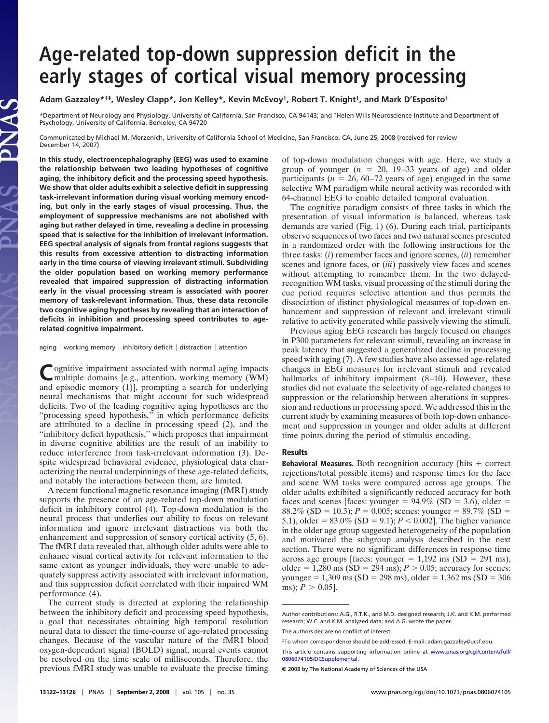# **Age-related top-down suppression deficit in the early stages of cortical visual memory processing**

## **Adam Gazzaley\*†‡, Wesley Clapp\*, Jon Kelley\*, Kevin McEvoy†, Robert T. Knight†, and Mark D'Esposito†**

\*Department of Neurology and Physiology, University of California, San Francisco, CA 94143; and †Helen Wills Neuroscience Institute and Department of Psychology, University of California, Berkeley, CA 94720

Communicated by Michael M. Merzenich, University of California School of Medicine, San Francisco, CA, June 25, 2008 (received for review December 14, 2007)

**In this study, electroencephalography (EEG) was used to examine the relationship between two leading hypotheses of cognitive aging, the inhibitory deficit and the processing speed hypothesis. We show that older adults exhibit a selective deficit in suppressing task-irrelevant information during visual working memory encoding, but only in the early stages of visual processing. Thus, the employment of suppressive mechanisms are not abolished with aging but rather delayed in time, revealing a decline in processing speed that is selective for the inhibition of irrelevant information. EEG spectral analysis of signals from frontal regions suggests that this results from excessive attention to distracting information early in the time course of viewing irrelevant stimuli. Subdividing the older population based on working memory performance revealed that impaired suppression of distracting information early in the visual processing stream is associated with poorer memory of task-relevant information. Thus, these data reconcile two cognitive aging hypotheses by revealing that an interaction of deficits in inhibition and processing speed contributes to agerelated cognitive impairment.**

LAS

aging  $|$  working memory  $|$  inhibitory deficit  $|$  distraction  $|$  attention

Cognitive impairment associated with normal aging impacts multiple domains [e.g., attention, working memory (WM) and episodic memory (1)], prompting a search for underlying neural mechanisms that might account for such widespread deficits. Two of the leading cognitive aging hypotheses are the "processing speed hypothesis," in which performance deficits are attributed to a decline in processing speed (2), and the ''inhibitory deficit hypothesis,'' which proposes that impairment in diverse cognitive abilities are the result of an inability to reduce interference from task-irrelevant information (3). Despite widespread behavioral evidence, physiological data characterizing the neural underpinnings of these age-related deficits, and notably the interactions between them, are limited.

A recent functional magnetic resonance imaging (fMRI) study supports the presence of an age-related top-down modulation deficit in inhibitory control (4). Top-down modulation is the neural process that underlies our ability to focus on relevant information and ignore irrelevant distractions via both the enhancement and suppression of sensory cortical activity (5, 6). The fMRI data revealed that, although older adults were able to enhance visual cortical activity for relevant information to the same extent as younger individuals, they were unable to adequately suppress activity associated with irrelevant information, and this suppression deficit correlated with their impaired WM performance (4).

The current study is directed at exploring the relationship between the inhibitory deficit and processing speed hypothesis, a goal that necessitates obtaining high temporal resolution neural data to dissect the time-course of age-related processing changes. Because of the vascular nature of the fMRI blood oxygen-dependent signal (BOLD) signal, neural events cannot be resolved on the time scale of milliseconds. Therefore, the previous fMRI study was unable to evaluate the precise timing of top-down modulation changes with age. Here, we study a group of younger  $(n = 20, 19-33)$  years of age) and older participants ( $n = 26$ , 60–72 years of age) engaged in the same selective WM paradigm while neural activity was recorded with 64-channel EEG to enable detailed temporal evaluation.

The cognitive paradigm consists of three tasks in which the presentation of visual information is balanced, whereas task demands are varied (Fig. 1) (6). During each trial, participants observe sequences of two faces and two natural scenes presented in a randomized order with the following instructions for the three tasks: (*i*) remember faces and ignore scenes, (*ii*) remember scenes and ignore faces, or (*iii*) passively view faces and scenes without attempting to remember them. In the two delayedrecognition WM tasks, visual processing of the stimuli during the cue period requires selective attention and thus permits the dissociation of distinct physiological measures of top-down enhancement and suppression of relevant and irrelevant stimuli relative to activity generated while passively viewing the stimuli.

Previous aging EEG research has largely focused on changes in P300 parameters for relevant stimuli, revealing an increase in peak latency that suggested a generalized decline in processing speed with aging (7). A few studies have also assessed age-related changes in EEG measures for irrelevant stimuli and revealed hallmarks of inhibitory impairment (8–10). However, these studies did not evaluate the selectivity of age-related changes to suppression or the relationship between alterations in suppression and reductions in processing speed. We addressed this in the current study by examining measures of both top-down enhancement and suppression in younger and older adults at different time points during the period of stimulus encoding.

#### **Results**

**Behavioral Measures.** Both recognition accuracy (hits + correct rejections/total possible items) and response times for the face and scene WM tasks were compared across age groups. The older adults exhibited a significantly reduced accuracy for both faces and scenes [faces: younger =  $94.9\%$  (SD = 3.6), older = 88.2% (SD = 10.3);  $P = 0.005$ ; scenes: younger = 89.7% (SD = 5.1), older =  $83.0\%$  (SD =  $9.1$ );  $P < 0.002$ ]. The higher variance in the older age group suggested heterogeneity of the population and motivated the subgroup analysis described in the next section. There were no significant differences in response time across age groups [faces: younger  $= 1,192$  ms (SD  $= 291$  ms), older =  $1,280$  ms (SD =  $294$  ms);  $P > 0.05$ ; accuracy for scenes: younger =  $1,309 \text{ ms (SD} = 298 \text{ ms)}$ , older =  $1,362 \text{ ms (SD} = 306$ ms);  $P > 0.05$ ].

Author contributions: A.G., R.T.K., and M.D. designed research; J.K. and K.M. performed research; W.C. and K.M. analyzed data; and A.G. wrote the paper.

The authors declare no conflict of interest.

<sup>‡</sup>To whom correspondence should be addressed. E-mail: adam.gazzaley@ucsf.edu.

This article contains supporting information online at [www.pnas.org/cgi/content/full/](http://www.pnas.org/cgi/content/full/0806074105/DCSupplemental) [0806074105/DCSupplemental.](http://www.pnas.org/cgi/content/full/0806074105/DCSupplemental)

<sup>© 2008</sup> by The National Academy of Sciences of the USA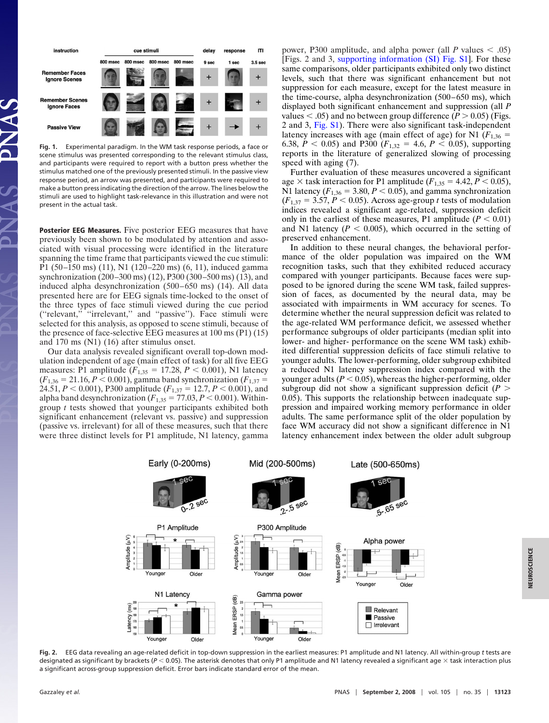

**Fig. 1.** Experimental paradigm. In the WM task response periods, a face or scene stimulus was presented corresponding to the relevant stimulus class, and participants were required to report with a button press whether the stimulus matched one of the previously presented stimuli. In the passive view response period, an arrow was presented, and participants were required to make a button press indicating the direction of the arrow. The lines below the stimuli are used to highlight task-relevance in this illustration and were not present in the actual task.

**Posterior EEG Measures.** Five posterior EEG measures that have previously been shown to be modulated by attention and associated with visual processing were identified in the literature spanning the time frame that participants viewed the cue stimuli: P1 (50–150 ms) (11), N1 (120–220 ms) (6, 11), induced gamma synchronization (200–300 ms) (12), P300 (300–500 ms) (13), and induced alpha desynchronization (500–650 ms) (14). All data presented here are for EEG signals time-locked to the onset of the three types of face stimuli viewed during the cue period ("relevant," "irrelevant," and "passive"). Face stimuli were selected for this analysis, as opposed to scene stimuli, because of the presence of face-selective EEG measures at 100 ms (P1) (15) and 170 ms (N1) (16) after stimulus onset.

Our data analysis revealed significant overall top-down modulation independent of age (main effect of task) for all five EEG measures: P1 amplitude  $(F_{1,35} = 17.28, P \le 0.001)$ , N1 latency  $(F_{1,36} = 21.16, P < 0.001)$ , gamma band synchronization  $(F_{1,37} =$ 24.51,  $P < 0.001$ ), P300 amplitude ( $F_{1,37} = 12.7$ ,  $P < 0.001$ ), and alpha band desynchronization  $(F_{1,35} = 77.03, P \lt 0.001)$ . Withingroup *t* tests showed that younger participants exhibited both significant enhancement (relevant vs. passive) and suppression (passive vs. irrelevant) for all of these measures, such that there were three distinct levels for P1 amplitude, N1 latency, gamma power, P300 amplitude, and alpha power (all  $P$  values  $\lt$  .05) [Figs. 2 and 3, [supporting information \(SI\) Fig. S1\]](http://www.pnas.org/cgi/data/0806074105/DCSupplemental/Supplemental_PDF#nameddest=SF1). For these same comparisons, older participants exhibited only two distinct levels, such that there was significant enhancement but not suppression for each measure, except for the latest measure in the time-course, alpha desynchronization (500–650 ms), which displayed both significant enhancement and suppression (all *P* values  $\lt$  .05) and no between group difference ( $P > 0.05$ ) (Figs. 2 and 3, [Fig. S1\)](http://www.pnas.org/cgi/data/0806074105/DCSupplemental/Supplemental_PDF#nameddest=SF1). There were also significant task-independent latency increases with age (main effect of age) for N1 ( $F_{1,36}$  = 6.38,  $P < 0.05$ ) and P300 ( $F_{1,32} = 4.6$ ,  $P < 0.05$ ), supporting reports in the literature of generalized slowing of processing speed with aging (7).

Further evaluation of these measures uncovered a significant age  $\times$  task interaction for P1 amplitude ( $F_{1,35} = 4.42, P < 0.05$ ), N1 latency  $(F_{1,36} = 3.80, P < 0.05)$ , and gamma synchronization  $(F_{1,37} = 3.57, P < 0.05)$ . Across age-group *t* tests of modulation indices revealed a significant age-related, suppression deficit only in the earliest of these measures, P1 amplitude  $(P < 0.01)$ and N1 latency  $(P < 0.005)$ , which occurred in the setting of preserved enhancement.

In addition to these neural changes, the behavioral performance of the older population was impaired on the WM recognition tasks, such that they exhibited reduced accuracy compared with younger participants. Because faces were supposed to be ignored during the scene WM task, failed suppression of faces, as documented by the neural data, may be associated with impairments in WM accuracy for scenes. To determine whether the neural suppression deficit was related to the age-related WM performance deficit, we assessed whether performance subgroups of older participants (median split into lower- and higher- performance on the scene WM task) exhibited differential suppression deficits of face stimuli relative to younger adults. The lower-performing, older subgroup exhibited a reduced N1 latency suppression index compared with the younger adults ( $P < 0.05$ ), whereas the higher-performing, older subgroup did not show a significant suppression deficit (*P* 0.05). This supports the relationship between inadequate suppression and impaired working memory performance in older adults. The same performance split of the older population by face WM accuracy did not show a significant difference in N1 latency enhancement index between the older adult subgroup



**Fig. 2.** EEG data revealing an age-related deficit in top-down suppression in the earliest measures: P1 amplitude and N1 latency. All within-group *t* tests are designated as significant by brackets ( $P < 0.05$ ). The asterisk denotes that only P1 amplitude and N1 latency revealed a significant age  $\times$  task interaction plus a significant across-group suppression deficit. Error bars indicate standard error of the mean.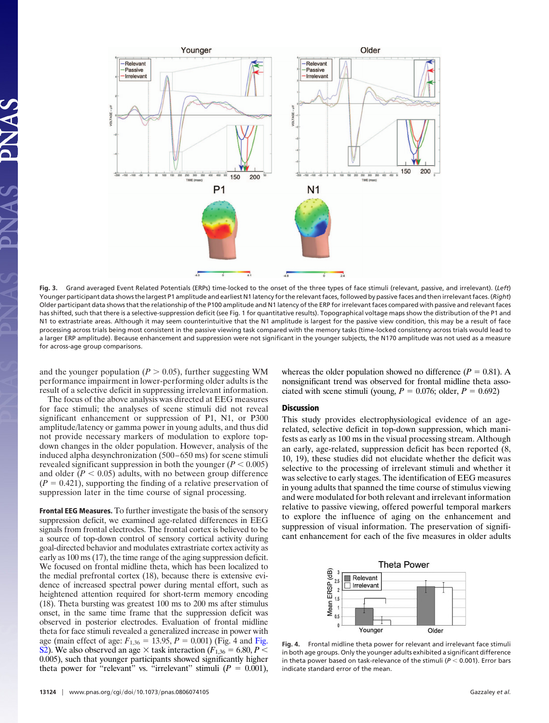

**Fig. 3.** Grand averaged Event Related Potentials (ERPs) time-locked to the onset of the three types of face stimuli (relevant, passive, and irrelevant). (*Left*) Younger participant data shows the largest P1 amplitude and earliest N1 latency for the relevant faces, followed by passive faces and then irrelevantfaces. (*Right*) Older participant data shows that the relationship of the P100 amplitude and N1 latency of the ERP for irrelevant faces compared with passive and relevant faces has shifted, such that there is a selective-suppression deficit (see Fig. 1 for quantitative results). Topographical voltage maps show the distribution of the P1 and N1 to extrastriate areas. Although it may seem counterintuitive that the N1 amplitude is largest for the passive view condition, this may be a result of face processing across trials being most consistent in the passive viewing task compared with the memory tasks (time-locked consistency across trials would lead to a larger ERP amplitude). Because enhancement and suppression were not significant in the younger subjects, the N170 amplitude was not used as a measure for across-age group comparisons.

and the younger population ( $P > 0.05$ ), further suggesting WM performance impairment in lower-performing older adults is the result of a selective deficit in suppressing irrelevant information.

The focus of the above analysis was directed at EEG measures for face stimuli; the analyses of scene stimuli did not reveal significant enhancement or suppression of P1, N1, or P300 amplitude/latency or gamma power in young adults, and thus did not provide necessary markers of modulation to explore topdown changes in the older population. However, analysis of the induced alpha desynchronization (500–650 ms) for scene stimuli revealed significant suppression in both the younger  $(P < 0.005)$ and older  $(P < 0.05)$  adults, with no between group difference  $(P = 0.421)$ , supporting the finding of a relative preservation of suppression later in the time course of signal processing.

**Frontal EEG Measures.** To further investigate the basis of the sensory suppression deficit, we examined age-related differences in EEG signals from frontal electrodes. The frontal cortex is believed to be a source of top-down control of sensory cortical activity during goal-directed behavior and modulates extrastriate cortex activity as early as 100 ms (17), the time range of the aging suppression deficit. We focused on frontal midline theta, which has been localized to the medial prefrontal cortex (18), because there is extensive evidence of increased spectral power during mental effort, such as heightened attention required for short-term memory encoding (18). Theta bursting was greatest 100 ms to 200 ms after stimulus onset, in the same time frame that the suppression deficit was observed in posterior electrodes. Evaluation of frontal midline theta for face stimuli revealed a generalized increase in power with age (main effect of age:  $F_{1,36} = 13.95, P = 0.001$ ) ([Fig.](http://www.pnas.org/cgi/data/0806074105/DCSupplemental/Supplemental_PDF#nameddest=SF2) 4 and Fig. [S2\)](http://www.pnas.org/cgi/data/0806074105/DCSupplemental/Supplemental_PDF#nameddest=SF2). We also observed an age  $\times$  task interaction ( $F_{1,36} = 6.80, P \lt \theta$ ) 0.005), such that younger participants showed significantly higher theta power for "relevant" vs. "irrelevant" stimuli ( $P = 0.001$ ), whereas the older population showed no difference  $(P = 0.81)$ . A nonsignificant trend was observed for frontal midline theta associated with scene stimuli (young,  $P = 0.076$ ; older,  $P = 0.692$ )

#### **Discussion**

This study provides electrophysiological evidence of an agerelated, selective deficit in top-down suppression, which manifests as early as 100 ms in the visual processing stream. Although an early, age-related, suppression deficit has been reported (8, 10, 19), these studies did not elucidate whether the deficit was selective to the processing of irrelevant stimuli and whether it was selective to early stages. The identification of EEG measures in young adults that spanned the time course of stimulus viewing and were modulated for both relevant and irrelevant information relative to passive viewing, offered powerful temporal markers to explore the influence of aging on the enhancement and suppression of visual information. The preservation of significant enhancement for each of the five measures in older adults



**Fig. 4.** Frontal midline theta power for relevant and irrelevant face stimuli in both age groups. Only the younger adults exhibited a significant difference in theta power based on task-relevance of the stimuli ( $P < 0.001$ ). Error bars indicate standard error of the mean.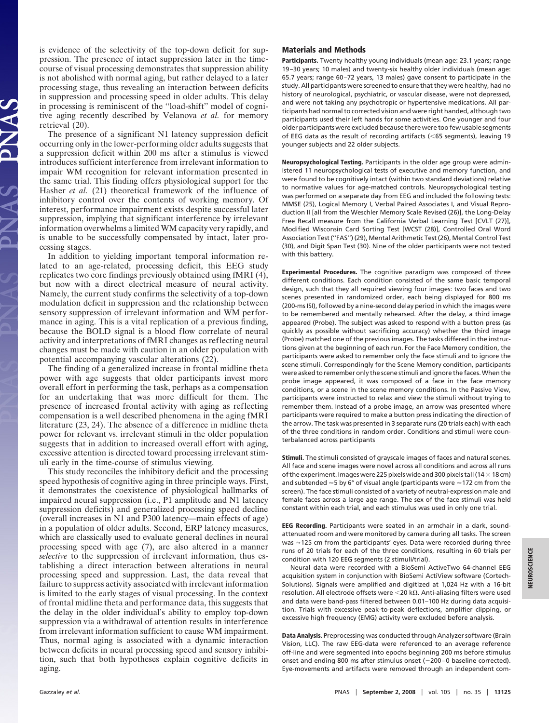is evidence of the selectivity of the top-down deficit for suppression. The presence of intact suppression later in the timecourse of visual processing demonstrates that suppression ability is not abolished with normal aging, but rather delayed to a later processing stage, thus revealing an interaction between deficits in suppression and processing speed in older adults. This delay in processing is reminiscent of the ''load-shift'' model of cognitive aging recently described by Velanova *et al.* for memory retrieval (20).

The presence of a significant N1 latency suppression deficit occurring only in the lower-performing older adults suggests that a suppression deficit within 200 ms after a stimulus is viewed introduces sufficient interference from irrelevant information to impair WM recognition for relevant information presented in the same trial. This finding offers physiological support for the Hasher *et al.* (21) theoretical framework of the influence of inhibitory control over the contents of working memory. Of interest, performance impairment exists despite successful later suppression, implying that significant interference by irrelevant information overwhelms a limited WM capacity very rapidly, and is unable to be successfully compensated by intact, later processing stages.

In addition to yielding important temporal information related to an age-related, processing deficit, this EEG study replicates two core findings previously obtained using fMRI (4), but now with a direct electrical measure of neural activity. Namely, the current study confirms the selectivity of a top-down modulation deficit in suppression and the relationship between sensory suppression of irrelevant information and WM performance in aging. This is a vital replication of a previous finding, because the BOLD signal is a blood flow correlate of neural activity and interpretations of fMRI changes as reflecting neural changes must be made with caution in an older population with potential accompanying vascular alterations (22).

The finding of a generalized increase in frontal midline theta power with age suggests that older participants invest more overall effort in performing the task, perhaps as a compensation for an undertaking that was more difficult for them. The presence of increased frontal activity with aging as reflecting compensation is a well described phenomena in the aging fMRI literature (23, 24). The absence of a difference in midline theta power for relevant vs. irrelevant stimuli in the older population suggests that in addition to increased overall effort with aging, excessive attention is directed toward processing irrelevant stimuli early in the time-course of stimulus viewing.

This study reconciles the inhibitory deficit and the processing speed hypothesis of cognitive aging in three principle ways. First, it demonstrates the coexistence of physiological hallmarks of impaired neural suppression (i.e., P1 amplitude and N1 latency suppression deficits) and generalized processing speed decline (overall increases in N1 and P300 latency—main effects of age) in a population of older adults. Second, ERP latency measures, which are classically used to evaluate general declines in neural processing speed with age (7), are also altered in a manner *selective* to the suppression of irrelevant information, thus establishing a direct interaction between alterations in neural processing speed and suppression. Last, the data reveal that failure to suppress activity associated with irrelevant information is limited to the early stages of visual processing. In the context of frontal midline theta and performance data, this suggests that the delay in the older individual's ability to employ top-down suppression via a withdrawal of attention results in interference from irrelevant information sufficient to cause WM impairment. Thus, normal aging is associated with a dynamic interaction between deficits in neural processing speed and sensory inhibition, such that both hypotheses explain cognitive deficits in aging.

### **Materials and Methods**

**Participants.** Twenty healthy young individuals (mean age: 23.1 years; range 19–30 years; 10 males) and twenty-six healthy older individuals (mean age: 65.7 years; range 60–72 years, 13 males) gave consent to participate in the study. All participants were screened to ensure that they were healthy, had no history of neurological, psychiatric, or vascular disease, were not depressed, and were not taking any psychotropic or hypertensive medications. All participants had normal to corrected vision and were right handed, although two participants used their left hands for some activities. One younger and four older participants were excluded because there were too few usable segments of EEG data as the result of recording artifacts ( $<$  65 segments), leaving 19 younger subjects and 22 older subjects.

**Neuropsychological Testing.** Participants in the older age group were administered 11 neuropsychological tests of executive and memory function, and were found to be cognitively intact (within two standard deviations) relative to normative values for age-matched controls. Neuropsychological testing was performed on a separate day from EEG and included the following tests: MMSE (25), Logical Memory I, Verbal Paired Associates I, and Visual Reproduction II [all from the Weschler Memory Scale Revised (26)], the Long-Delay Free Recall measure from the California Verbal Learning Test [CVLT (27)], Modified Wisconsin Card Sorting Test [WCST (28)], Controlled Oral Word Association Test (''FAS'') (29), Mental Arithmetic Test (26), Mental Control Test (30), and Digit Span Test (30). Nine of the older participants were not tested with this battery.

**Experimental Procedures.** The cognitive paradigm was composed of three different conditions. Each condition consisted of the same basic temporal design, such that they all required viewing four images: two faces and two scenes presented in randomized order, each being displayed for 800 ms (200-ms ISI), followed by a nine-second delay period in which the images were to be remembered and mentally rehearsed. After the delay, a third image appeared (Probe). The subject was asked to respond with a button press (as quickly as possible without sacrificing accuracy) whether the third image (Probe) matched one of the previous images. The tasks differed in the instructions given at the beginning of each run. For the Face Memory condition, the participants were asked to remember only the face stimuli and to ignore the scene stimuli. Correspondingly for the Scene Memory condition, participants were asked to remember only the scene stimuli and ignore the faces. When the probe image appeared, it was composed of a face in the face memory conditions, or a scene in the scene memory conditions. In the Passive View, participants were instructed to relax and view the stimuli without trying to remember them. Instead of a probe image, an arrow was presented where participants were required to make a button press indicating the direction of the arrow. The task was presented in 3 separate runs (20 trials each) with each of the three conditions in random order. Conditions and stimuli were counterbalanced across participants

**Stimuli.** The stimuli consisted of grayscale images of faces and natural scenes. All face and scene images were novel across all conditions and across all runs of the experiment. Images were 225 pixels wide and 300 pixels tall (14  $\times$  18 cm) and subtended  $\approx$  5 by 6° of visual angle (participants were  $\approx$  172 cm from the screen). The face stimuli consisted of a variety of neutral-expression male and female faces across a large age range. The sex of the face stimuli was held constant within each trial, and each stimulus was used in only one trial.

**EEG Recording.** Participants were seated in an armchair in a dark, soundattenuated room and were monitored by camera during all tasks. The screen was  $\approx$  125 cm from the participants' eyes. Data were recorded during three runs of 20 trials for each of the three conditions, resulting in 60 trials per condition with 120 EEG segments (2 stimuli/trial).

Neural data were recorded with a BioSemi ActiveTwo 64-channel EEG acquisition system in conjunction with BioSemi ActiView software (Cortech-Solutions). Signals were amplified and digitized at 1,024 Hz with a 16-bit resolution. All electrode offsets were <20 k $\Omega$ . Anti-aliasing filters were used and data were band-pass filtered between 0.01–100 Hz during data acquisition. Trials with excessive peak-to-peak deflections, amplifier clipping, or excessive high frequency (EMG) activity were excluded before analysis.

**Data Analysis.** Preprocessing was conducted through Analyzer software (Brain Vision, LLC). The raw EEG-data were referenced to an average reference off-line and were segmented into epochs beginning 200 ms before stimulus onset and ending 800 ms after stimulus onset (-200-0 baseline corrected). Eye-movements and artifacts were removed through an independent com